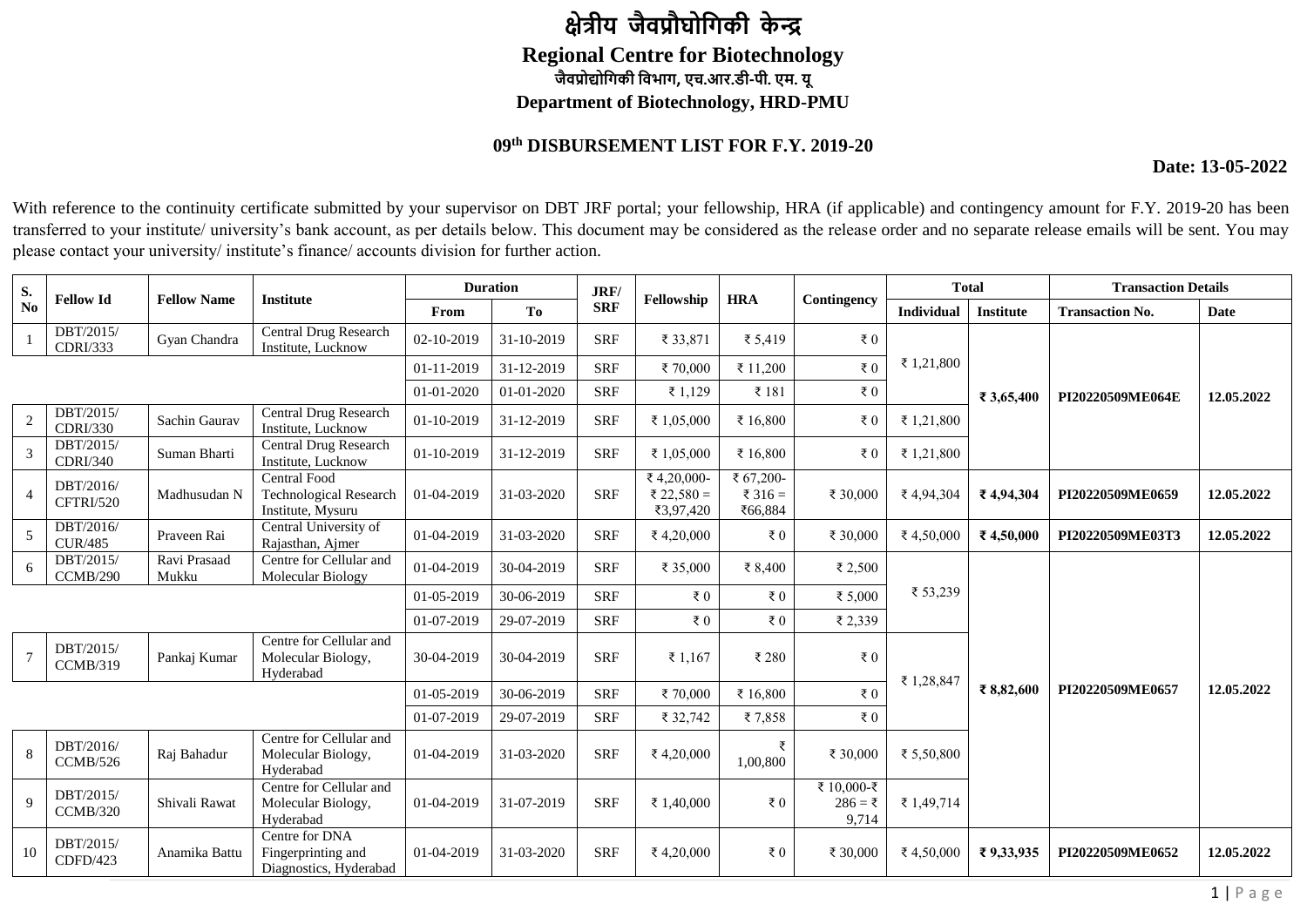## **क्षेत्रीय जैवप्रौघोगिकी के न्द्र Regional Centre for Biotechnology जैवप्रोद्योगिकी गवभाि, एच.आर.डी-पी. एम. यू Department of Biotechnology, HRD-PMU**

## **09 th DISBURSEMENT LIST FOR F.Y. 2019-20**

## **Date: 13-05-2022**

With reference to the continuity certificate submitted by your supervisor on DBT JRF portal; your fellowship, HRA (if applicable) and contingency amount for F.Y. 2019-20 has been transferred to your institute/ university's bank account, as per details below. This document may be considered as the release order and no separate release emails will be sent. You may please contact your university/ institute's finance/ accounts division for further action.

| S.             | <b>Fellow Id</b>              | <b>Fellow Name</b>    | <b>Institute</b>                                                          |            | <b>Duration</b> | JRF/       | Fellowship                            | <b>HRA</b>                      |                                  | <b>Total</b> |                  | <b>Transaction Details</b> |             |
|----------------|-------------------------------|-----------------------|---------------------------------------------------------------------------|------------|-----------------|------------|---------------------------------------|---------------------------------|----------------------------------|--------------|------------------|----------------------------|-------------|
| No             |                               |                       |                                                                           | From       | <b>To</b>       | <b>SRF</b> |                                       |                                 | Contingency                      | Individual   | <b>Institute</b> | <b>Transaction No.</b>     | <b>Date</b> |
|                | DBT/2015/<br><b>CDRI/333</b>  | Gyan Chandra          | Central Drug Research<br>Institute, Lucknow                               | 02-10-2019 | 31-10-2019      | <b>SRF</b> | ₹ 33,871                              | ₹ 5,419                         | ₹ $0$                            |              |                  |                            |             |
|                |                               |                       |                                                                           | 01-11-2019 | 31-12-2019      | <b>SRF</b> | ₹70,000                               | ₹ 11,200                        | ₹ $0$                            | ₹ 1,21,800   |                  |                            |             |
|                |                               |                       |                                                                           | 01-01-2020 | 01-01-2020      | <b>SRF</b> | ₹ 1,129                               | ₹ 181                           | ₹ $0$                            |              | ₹ 3,65,400       | PI20220509ME064E           | 12.05.2022  |
| $\overline{c}$ | DBT/2015/<br><b>CDRI/330</b>  | Sachin Gaurav         | Central Drug Research<br>Institute, Lucknow                               | 01-10-2019 | 31-12-2019      | <b>SRF</b> | ₹ 1,05,000                            | ₹ 16,800                        | ₹ $0$                            | ₹ 1,21,800   |                  |                            |             |
| 3              | DBT/2015/<br><b>CDRI/340</b>  | Suman Bharti          | <b>Central Drug Research</b><br>Institute, Lucknow                        | 01-10-2019 | 31-12-2019      | <b>SRF</b> | ₹ 1,05,000                            | ₹ 16,800                        | ₹ $0$                            | ₹1,21,800    |                  |                            |             |
| 4              | DBT/2016/<br>CFTRI/520        | Madhusudan N          | <b>Central Food</b><br><b>Technological Research</b><br>Institute, Mysuru | 01-04-2019 | 31-03-2020      | <b>SRF</b> | ₹4,20,000-<br>₹ 22,580 =<br>₹3,97,420 | ₹ 67,200-<br>₹ 316 =<br>₹66,884 | ₹ 30,000                         | ₹4,94,304    | ₹4,94,304        | PI20220509ME0659           | 12.05.2022  |
| 5              | DBT/2016/<br><b>CUR/485</b>   | Praveen Rai           | Central University of<br>Rajasthan, Ajmer                                 | 01-04-2019 | 31-03-2020      | <b>SRF</b> | ₹4,20,000                             | ₹ $0$                           | ₹ 30,000                         | ₹4,50,000    | ₹4,50,000        | PI20220509ME03T3           | 12.05.2022  |
| 6              | $DBT\sqrt{2015/}$<br>CCMB/290 | Ravi Prasaad<br>Mukku | Centre for Cellular and<br>Molecular Biology                              | 01-04-2019 | 30-04-2019      | <b>SRF</b> | ₹ 35,000                              | ₹ 8,400                         | ₹ 2,500                          |              |                  |                            |             |
|                |                               |                       |                                                                           | 01-05-2019 | 30-06-2019      | <b>SRF</b> | $\bar{x}$ 0                           | ₹ $0$                           | ₹ 5,000                          | ₹ 53,239     |                  |                            |             |
|                |                               |                       |                                                                           | 01-07-2019 | 29-07-2019      | <b>SRF</b> | ₹ $0$                                 | ₹ $0$                           | ₹ 2,339                          |              |                  |                            |             |
| $\overline{7}$ | DBT/2015/<br>CCMB/319         | Pankaj Kumar          | Centre for Cellular and<br>Molecular Biology,<br>Hyderabad                | 30-04-2019 | 30-04-2019      | <b>SRF</b> | ₹ 1,167                               | ₹ 280                           | ₹ $0$                            | ₹ 1,28,847   |                  | PI20220509ME0657           | 12.05.2022  |
|                |                               |                       |                                                                           | 01-05-2019 | 30-06-2019      | <b>SRF</b> | ₹70,000                               | ₹ 16,800                        | ₹ $0$                            |              | ₹8,82,600        |                            |             |
|                |                               |                       |                                                                           | 01-07-2019 | 29-07-2019      | <b>SRF</b> | ₹ 32,742                              | ₹7,858                          | ₹ $0$                            |              |                  |                            |             |
| 8              | DBT/2016/<br>CCMB/526         | Raj Bahadur           | Centre for Cellular and<br>Molecular Biology,<br>Hyderabad                | 01-04-2019 | 31-03-2020      | <b>SRF</b> | ₹4,20,000                             | ₹<br>1,00,800                   | ₹ 30,000                         | ₹ 5,50,800   |                  |                            |             |
| 9              | DBT/2015/<br>CCMB/320         | Shivali Rawat         | Centre for Cellular and<br>Molecular Biology,<br>Hyderabad                | 01-04-2019 | 31-07-2019      | <b>SRF</b> | ₹ 1,40,000                            | ₹ $0$                           | ₹ 10,000-₹<br>$286 = ₹$<br>9,714 | ₹ 1,49,714   |                  |                            |             |
| 10             | DBT/2015/<br>CDFD/423         | Anamika Battu         | Centre for DNA<br>Fingerprinting and<br>Diagnostics, Hyderabad            | 01-04-2019 | 31-03-2020      | <b>SRF</b> | ₹4,20,000                             | ₹ $0$                           | ₹ 30,000                         | ₹ 4,50,000   | ₹9,33,935        | PI20220509ME0652           | 12.05.2022  |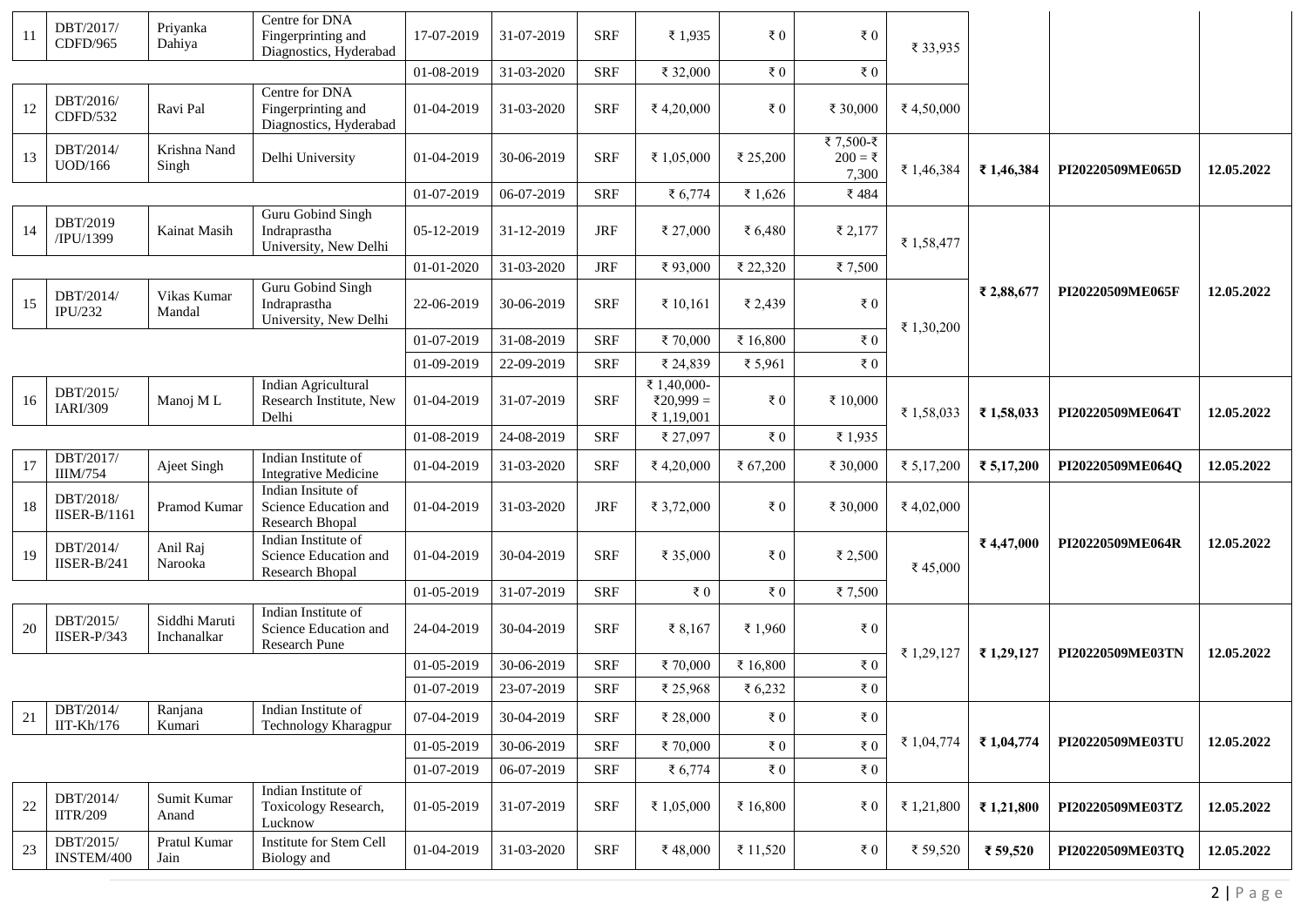| 11 | DBT/2017/<br>CDFD/965            | Priyanka<br>Dahiya           | Centre for DNA<br>Fingerprinting and<br>Diagnostics, Hyderabad         | 17-07-2019 | 31-07-2019 | <b>SRF</b> | ₹ 1,935                                | $\bar{z}$ 0  | ₹ $0$                          | ₹ 33,935   |            |                  |            |
|----|----------------------------------|------------------------------|------------------------------------------------------------------------|------------|------------|------------|----------------------------------------|--------------|--------------------------------|------------|------------|------------------|------------|
|    |                                  |                              | 01-08-2019                                                             | 31-03-2020 | <b>SRF</b> | ₹ 32,000   | ₹ $0$                                  | ₹ $0$        |                                |            |            |                  |            |
| 12 | DBT/2016/<br>CDFD/532            | Ravi Pal                     | Centre for DNA<br>Fingerprinting and<br>Diagnostics, Hyderabad         | 01-04-2019 | 31-03-2020 | <b>SRF</b> | ₹ 4,20,000                             | $\bar{z}$ 0  | ₹ 30,000                       | ₹4,50,000  |            |                  |            |
| 13 | DBT/2014/<br>UOD/166             | Krishna Nand<br>Singh        | Delhi University                                                       | 01-04-2019 | 30-06-2019 | <b>SRF</b> | ₹ 1,05,000                             | ₹ 25,200     | ₹7,500-₹<br>$200 = ₹$<br>7,300 | ₹ 1,46,384 | ₹1,46,384  | PI20220509ME065D | 12.05.2022 |
|    |                                  |                              |                                                                        | 01-07-2019 | 06-07-2019 | <b>SRF</b> | ₹ 6,774                                | ₹ 1,626      | ₹484                           |            |            |                  |            |
| 14 | DBT/2019<br>/IPU/1399            | Kainat Masih                 | Guru Gobind Singh<br>Indraprastha<br>University, New Delhi             | 05-12-2019 | 31-12-2019 | <b>JRF</b> | ₹ 27,000                               | ₹ $6,480$    | ₹ 2,177                        | ₹1,58,477  |            | PI20220509ME065F |            |
|    |                                  |                              |                                                                        | 01-01-2020 | 31-03-2020 | <b>JRF</b> | ₹93,000                                | ₹ 22,320     | ₹7,500                         |            |            |                  |            |
| 15 | DBT/2014/<br><b>IPU/232</b>      | Vikas Kumar<br>Mandal        | Guru Gobind Singh<br>Indraprastha<br>University, New Delhi             | 22-06-2019 | 30-06-2019 | <b>SRF</b> | ₹ 10,161                               | ₹ 2,439      | ₹ $0$                          | ₹ 1,30,200 | ₹ 2,88,677 |                  | 12.05.2022 |
|    |                                  |                              |                                                                        | 01-07-2019 | 31-08-2019 | <b>SRF</b> | ₹70,000                                | ₹ 16,800     | $\bar{x}$ 0                    |            |            |                  |            |
|    |                                  |                              |                                                                        | 01-09-2019 | 22-09-2019 | <b>SRF</b> | ₹ 24,839                               | ₹ 5,961      | $\epsilon$ 0                   |            |            |                  |            |
| 16 | DBT/2015/<br>IARI/309            | Manoj ML                     | <b>Indian Agricultural</b><br>Research Institute, New<br>Delhi         | 01-04-2019 | 31-07-2019 | <b>SRF</b> | ₹ 1,40,000-<br>₹20,999 =<br>₹ 1,19,001 | ₹ $0$        | ₹ 10,000                       | ₹ 1,58,033 | ₹1,58,033  | PI20220509ME064T | 12.05.2022 |
|    |                                  |                              |                                                                        | 01-08-2019 | 24-08-2019 | <b>SRF</b> | ₹ 27,097                               | $\bar{z}$ 0  | ₹1,935                         |            |            |                  |            |
| 17 | DBT/2017/<br><b>IIIM/754</b>     | Ajeet Singh                  | Indian Institute of<br><b>Integrative Medicine</b>                     | 01-04-2019 | 31-03-2020 | <b>SRF</b> | ₹ 4,20,000                             | ₹ 67,200     | ₹ 30,000                       | ₹ 5,17,200 | ₹ 5,17,200 | PI20220509ME064Q | 12.05.2022 |
| 18 | DBT/2018/<br><b>IISER-B/1161</b> | Pramod Kumar                 | Indian Insitute of<br>Science Education and<br>Research Bhopal         | 01-04-2019 | 31-03-2020 | <b>JRF</b> | ₹ 3,72,000                             | ₹ $0$        | ₹ 30,000                       | ₹ 4,02,000 |            |                  | 12.05.2022 |
| 19 | DBT/2014/<br>IISER-B/241         | Anil Raj<br>Narooka          | Indian Institute of<br>Science Education and<br><b>Research Bhopal</b> | 01-04-2019 | 30-04-2019 | <b>SRF</b> | ₹ 35,000                               | ₹ $0$        | ₹ 2,500                        | ₹45,000    | ₹4,47,000  | PI20220509ME064R |            |
|    |                                  |                              |                                                                        | 01-05-2019 | 31-07-2019 | <b>SRF</b> | ₹ $0$                                  | ₹ $0$        | ₹7,500                         |            |            |                  |            |
| 20 | DBT/2015/<br>$IISER-P/343$       | Siddhi Maruti<br>Inchanalkar | Indian Institute of<br>Science Education and<br>Research Pune          | 24-04-2019 | 30-04-2019 | <b>SRF</b> | ₹ $8,167$                              | ₹ 1,960      | ₹ $0$                          |            |            |                  |            |
|    |                                  |                              |                                                                        | 01-05-2019 | 30-06-2019 | <b>SRF</b> | ₹70,000                                | ₹ 16,800     | ₹ $0$                          | ₹ 1,29,127 | ₹1,29,127  | PI20220509ME03TN | 12.05.2022 |
|    |                                  |                              |                                                                        | 01-07-2019 | 23-07-2019 | <b>SRF</b> | ₹ 25,968                               | ₹ 6,232      | $\epsilon$ 0                   |            |            |                  |            |
| 21 | DBT/2014/<br>IIT-Kh $/176$       | Ranjana<br>Kumari            | Indian Institute of<br>Technology Kharagpur                            | 07-04-2019 | 30-04-2019 | <b>SRF</b> | ₹ 28,000                               | $\bar{z}$ 0  | $\epsilon$ 0                   |            |            |                  |            |
|    |                                  |                              |                                                                        | 01-05-2019 | 30-06-2019 | <b>SRF</b> | ₹70,000                                | ₹ $0$        | ₹ $0$                          | ₹ 1,04,774 | ₹1,04,774  | PI20220509ME03TU | 12.05.2022 |
|    |                                  |                              | 01-07-2019                                                             | 06-07-2019 | <b>SRF</b> | ₹ 6,774    | $\bar{\tau}$ 0                         | $\epsilon$ 0 |                                |            |            |                  |            |
| 22 | DBT/2014/<br><b>IITR/209</b>     | Sumit Kumar<br>Anand         | Indian Institute of<br>Toxicology Research,<br>Lucknow                 | 01-05-2019 | 31-07-2019 | <b>SRF</b> | ₹ 1,05,000                             | ₹ 16,800     | ₹ $0$                          | ₹ 1,21,800 | ₹1,21,800  | PI20220509ME03TZ | 12.05.2022 |
| 23 | DBT/2015/<br>INSTEM/400          | Pratul Kumar<br>Jain         | Institute for Stem Cell<br>Biology and                                 | 01-04-2019 | 31-03-2020 | <b>SRF</b> | ₹48,000                                | ₹ 11,520     | ₹ $0$                          | ₹ 59,520   | ₹ 59,520   | PI20220509ME03TQ | 12.05.2022 |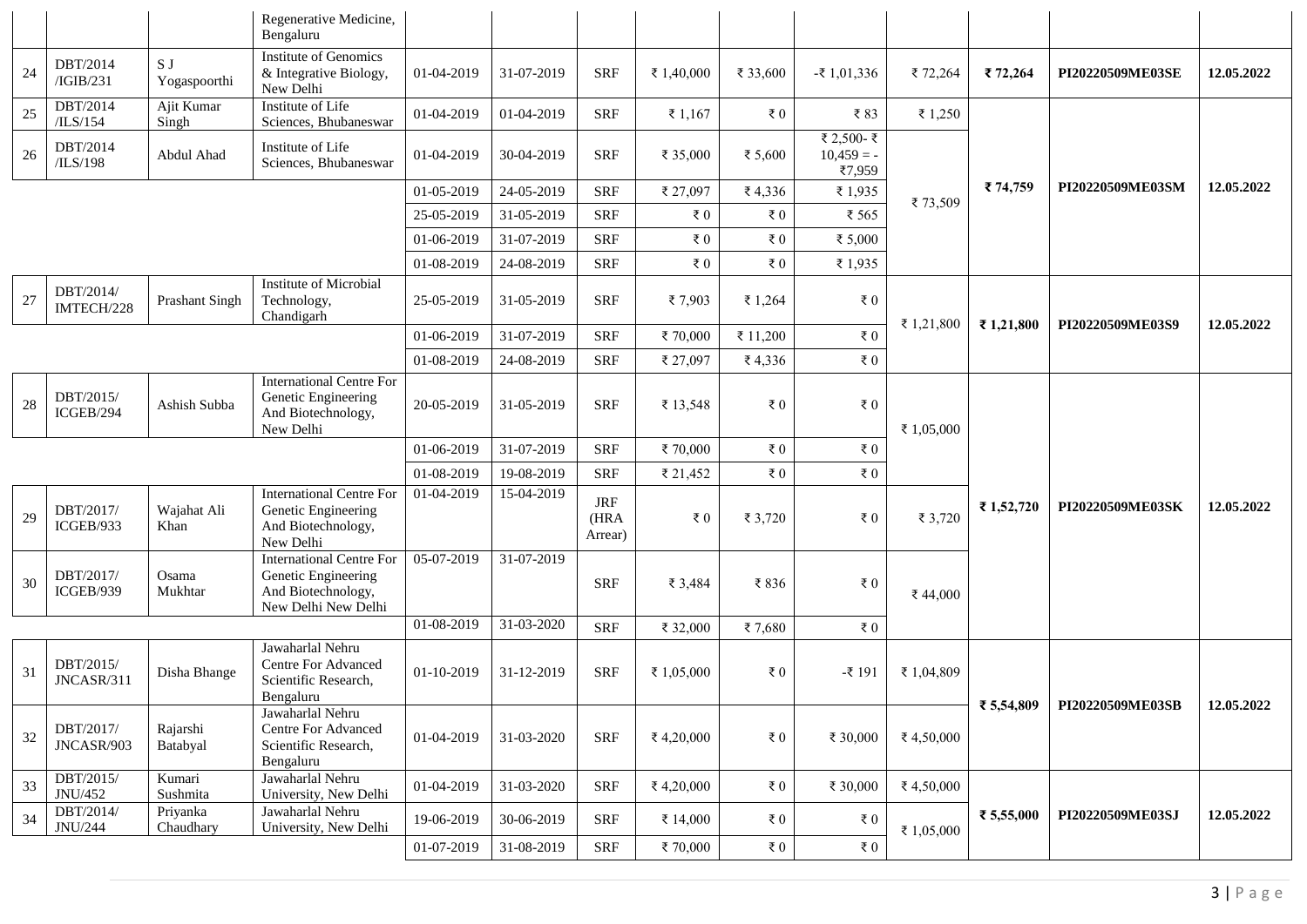|        |                         |                       | Regenerative Medicine,<br>Bengaluru                                                                 |            |            |                               |                |                |                                      |            |            |                  |            |
|--------|-------------------------|-----------------------|-----------------------------------------------------------------------------------------------------|------------|------------|-------------------------------|----------------|----------------|--------------------------------------|------------|------------|------------------|------------|
| 24     | DBT/2014<br>/IGIB/231   | S J<br>Yogaspoorthi   | <b>Institute of Genomics</b><br>& Integrative Biology,<br>New Delhi                                 | 01-04-2019 | 31-07-2019 | <b>SRF</b>                    | ₹ 1,40,000     | ₹ 33,600       | $-51,01,336$                         | ₹72,264    | ₹72,264    | PI20220509ME03SE | 12.05.2022 |
| 25     | DBT/2014<br>/ILS/154    | Ajit Kumar<br>Singh   | Institute of Life<br>Sciences, Bhubaneswar                                                          | 01-04-2019 | 01-04-2019 | <b>SRF</b>                    | ₹1,167         | ₹ $0$          | ₹83                                  | ₹ 1,250    |            |                  |            |
| 26     | DBT/2014<br>/ILS/198    | Abdul Ahad            | Institute of Life<br>Sciences, Bhubaneswar                                                          | 01-04-2019 | 30-04-2019 | <b>SRF</b>                    | ₹ 35,000       | ₹ 5,600        | ₹ 2,500- ₹<br>$10,459 = -$<br>₹7,959 |            |            |                  |            |
|        |                         |                       |                                                                                                     | 01-05-2019 | 24-05-2019 | <b>SRF</b>                    | ₹ 27,097       | ₹4,336         | ₹1,935                               | ₹73,509    | ₹ 74,759   | PI20220509ME03SM | 12.05.2022 |
|        |                         |                       |                                                                                                     | 25-05-2019 | 31-05-2019 | <b>SRF</b>                    | ₹ $0$          | $\bar{\tau}$ 0 | ₹ 565                                |            |            |                  |            |
|        |                         |                       |                                                                                                     | 01-06-2019 | 31-07-2019 | <b>SRF</b>                    | $\bar{\tau}$ 0 | ₹ $0$          | ₹ 5,000                              |            |            |                  |            |
|        |                         |                       |                                                                                                     | 01-08-2019 | 24-08-2019 | <b>SRF</b>                    | ₹ $0$          | ₹ $0$          | ₹1,935                               |            |            |                  |            |
| $27\,$ | DBT/2014/<br>IMTECH/228 | Prashant Singh        | Institute of Microbial<br>Technology,<br>Chandigarh                                                 | 25-05-2019 | 31-05-2019 | <b>SRF</b>                    | ₹7,903         | ₹ 1,264        | ₹ $0$                                | ₹1,21,800  | ₹ 1,21,800 | PI20220509ME03S9 | 12.05.2022 |
|        |                         |                       |                                                                                                     | 01-06-2019 | 31-07-2019 | <b>SRF</b>                    | ₹70,000        | ₹ 11,200       | ₹ $0$                                |            |            |                  |            |
|        |                         |                       |                                                                                                     | 01-08-2019 | 24-08-2019 | <b>SRF</b>                    | ₹ 27,097       | ₹4,336         | ₹ $0$                                |            |            |                  |            |
| 28     | DBT/2015/<br>ICGEB/294  | Ashish Subba          | <b>International Centre For</b><br>Genetic Engineering<br>And Biotechnology,<br>New Delhi           | 20-05-2019 | 31-05-2019 | <b>SRF</b>                    | ₹ 13,548       | ₹ $0$          | $\bar{\tau}$ 0                       | ₹ 1,05,000 |            |                  |            |
|        |                         |                       |                                                                                                     | 01-06-2019 | 31-07-2019 | <b>SRF</b>                    | ₹70,000        | $\bar{\tau}$ 0 | ₹ 0                                  |            |            |                  |            |
|        |                         |                       |                                                                                                     | 01-08-2019 | 19-08-2019 | <b>SRF</b>                    | ₹ 21,452       | $\bar{\tau}$ 0 | ₹ $0$                                |            |            |                  |            |
| 29     | DBT/2017/<br>ICGEB/933  | Wajahat Ali<br>Khan   | <b>International Centre For</b><br>Genetic Engineering<br>And Biotechnology,<br>New Delhi           | 01-04-2019 | 15-04-2019 | <b>JRF</b><br>(HRA<br>Arrear) | $\bar{x}$ 0    | ₹ 3,720        | ₹ 0                                  | ₹ 3,720    | ₹1,52,720  | PI20220509ME03SK | 12.05.2022 |
| 30     | DBT/2017/<br>ICGEB/939  | Osama<br>Mukhtar      | <b>International Centre For</b><br>Genetic Engineering<br>And Biotechnology,<br>New Delhi New Delhi | 05-07-2019 | 31-07-2019 | <b>SRF</b>                    | ₹ 3,484        | ₹836           | ₹ $0$                                | ₹44,000    |            |                  |            |
|        |                         |                       |                                                                                                     | 01-08-2019 | 31-03-2020 | <b>SRF</b>                    | ₹ 32,000       | ₹7,680         | $\bar{\tau}$ 0                       |            |            |                  |            |
| 31     | DBT/2015/<br>JNCASR/311 | Disha Bhange          | Jawaharlal Nehru<br><b>Centre For Advanced</b><br>Scientific Research,<br>Bengaluru                 | 01-10-2019 | 31-12-2019 | <b>SRF</b>                    | ₹ 1,05,000     | ₹ $0$          | $-$ ₹ 191                            | ₹ 1,04,809 | ₹ 5,54,809 |                  |            |
| 32     | DBT/2017/<br>JNCASR/903 | Rajarshi<br>Batabyal  | Jawaharlal Nehru<br>Centre For Advanced<br>Scientific Research,<br>Bengaluru                        | 01-04-2019 | 31-03-2020 | <b>SRF</b>                    | ₹4,20,000      | ₹ $0$          | ₹ 30,000                             | ₹4,50,000  |            | PI20220509ME03SB | 12.05.2022 |
| 33     | DBT/2015/<br>JNU/452    | Kumari<br>Sushmita    | Jawaharlal Nehru<br>University, New Delhi                                                           | 01-04-2019 | 31-03-2020 | <b>SRF</b>                    | ₹4,20,000      | ₹ $0$          | ₹ 30,000                             | ₹4,50,000  |            |                  |            |
| 34     | DBT/2014/<br>JNU/244    | Priyanka<br>Chaudhary | Jawaharlal Nehru<br>University, New Delhi                                                           | 19-06-2019 | 30-06-2019 | <b>SRF</b>                    | ₹ 14,000       | $\bar{\tau}$ 0 | $\epsilon$ 0                         | ₹ 1,05,000 | ₹ 5,55,000 | PI20220509ME03SJ | 12.05.2022 |
|        |                         |                       |                                                                                                     | 01-07-2019 | 31-08-2019 | <b>SRF</b>                    | ₹70,000        | ₹ 0            | ₹ $0$                                |            |            |                  |            |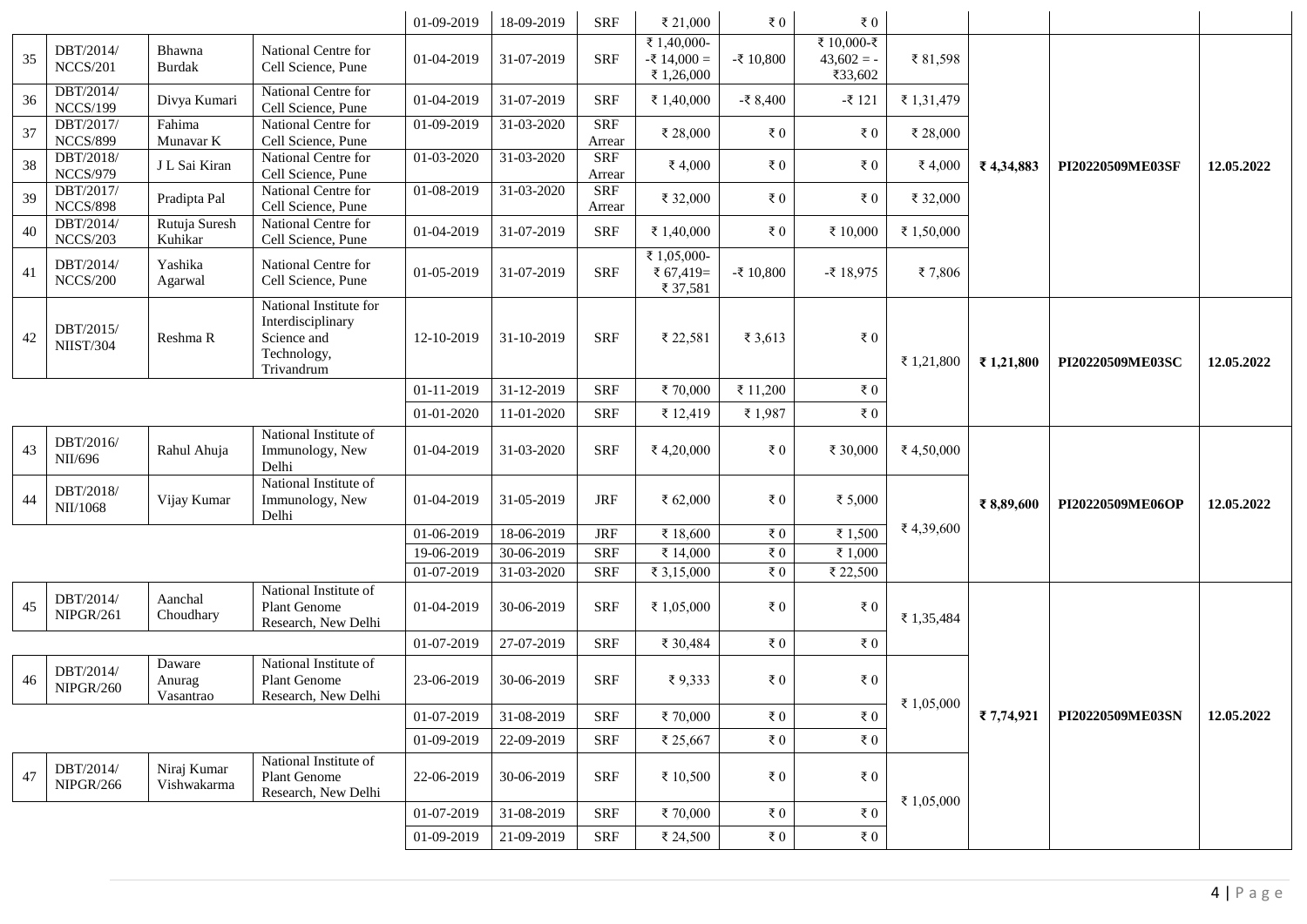|    |                               |                               |                                                                                         | 01-09-2019 | 18-09-2019 | <b>SRF</b>           | ₹ 21,000                                    | $\bar{x}$ 0    | ₹ $0$                                 |            |           |                  |            |
|----|-------------------------------|-------------------------------|-----------------------------------------------------------------------------------------|------------|------------|----------------------|---------------------------------------------|----------------|---------------------------------------|------------|-----------|------------------|------------|
| 35 | DBT/2014/<br><b>NCCS/201</b>  | Bhawna<br><b>Burdak</b>       | National Centre for<br>Cell Science, Pune                                               | 01-04-2019 | 31-07-2019 | <b>SRF</b>           | ₹ 1,40,000-<br>$-$ ₹ 14,000 =<br>₹ 1,26,000 | $-$ ₹ 10,800   | ₹ 10,000-₹<br>$43,602 = -$<br>₹33,602 | ₹81,598    |           |                  |            |
| 36 | DBT/2014/<br><b>NCCS/199</b>  | Divya Kumari                  | National Centre for<br>Cell Science, Pune                                               | 01-04-2019 | 31-07-2019 | <b>SRF</b>           | ₹ 1,40,000                                  | $-$ ₹ 8,400    | $-$ ₹ 121                             | ₹ 1,31,479 |           |                  |            |
| 37 | DBT/2017/<br><b>NCCS/899</b>  | Fahima<br>Munavar K           | National Centre for<br>Cell Science, Pune                                               | 01-09-2019 | 31-03-2020 | <b>SRF</b><br>Arrear | ₹ 28,000                                    | $\epsilon$ 0   | ₹ $0$                                 | ₹ 28,000   |           |                  |            |
| 38 | DBT/2018/<br><b>NCCS/979</b>  | J L Sai Kiran                 | National Centre for<br>Cell Science, Pune                                               | 01-03-2020 | 31-03-2020 | <b>SRF</b><br>Arrear | ₹4,000                                      | ₹ $0$          | ₹ $0$                                 | ₹4,000     | ₹4,34,883 | PI20220509ME03SF | 12.05.2022 |
| 39 | DBT/2017/<br><b>NCCS/898</b>  | Pradipta Pal                  | National Centre for<br>Cell Science, Pune                                               | 01-08-2019 | 31-03-2020 | <b>SRF</b><br>Arrear | ₹ 32,000                                    | ₹ $0$          | ₹ $0$                                 | ₹ 32,000   |           |                  | 12.05.2022 |
| 40 | DBT/2014/<br><b>NCCS/203</b>  | Rutuja Suresh<br>Kuhikar      | National Centre for<br>Cell Science, Pune                                               | 01-04-2019 | 31-07-2019 | <b>SRF</b>           | ₹ 1,40,000                                  | ₹ $0$          | ₹ 10,000                              | ₹ 1,50,000 |           |                  |            |
| 41 | DBT/2014/<br><b>NCCS/200</b>  | Yashika<br>Agarwal            | National Centre for<br>Cell Science, Pune                                               | 01-05-2019 | 31-07-2019 | <b>SRF</b>           | ₹ 1,05,000-<br>₹ $67,419=$<br>₹ 37,581      | $-$ ₹ 10,800   | $-$ ₹ 18,975                          | ₹7,806     |           |                  |            |
| 42 | DBT/2015/<br><b>NIIST/304</b> | Reshma R                      | National Institute for<br>Interdisciplinary<br>Science and<br>Technology,<br>Trivandrum | 12-10-2019 | 31-10-2019 | <b>SRF</b>           | ₹ 22,581                                    | ₹ 3,613        | ₹ 0                                   | ₹ 1,21,800 | ₹1,21,800 | PI20220509ME03SC |            |
|    |                               |                               |                                                                                         | 01-11-2019 | 31-12-2019 | <b>SRF</b>           | ₹70,000                                     | ₹ 11,200       | $\bar{\tau}$ 0                        |            |           |                  |            |
|    |                               |                               |                                                                                         | 01-01-2020 | 11-01-2020 | <b>SRF</b>           | ₹ 12,419                                    | ₹1,987         | $\epsilon$ 0                          |            |           |                  |            |
| 43 | DBT/2016/<br>NII/696          | Rahul Ahuja                   | National Institute of<br>Immunology, New<br>Delhi                                       | 01-04-2019 | 31-03-2020 | <b>SRF</b>           | ₹4,20,000                                   | $\epsilon$ 0   | ₹ 30,000                              | ₹4,50,000  |           | PI20220509ME06OP | 12.05.2022 |
| 44 | DBT/2018/<br>NII/1068         | Vijay Kumar                   | National Institute of<br>Immunology, New<br>Delhi                                       | 01-04-2019 | 31-05-2019 | <b>JRF</b>           | ₹ 62,000                                    | ₹ $0$          | ₹ 5,000                               |            | ₹8,89,600 |                  |            |
|    |                               |                               |                                                                                         | 01-06-2019 | 18-06-2019 | <b>JRF</b>           | ₹ 18,600                                    | $\bar{\tau}$ 0 | ₹ 1,500                               | ₹4,39,600  |           |                  |            |
|    |                               |                               |                                                                                         | 19-06-2019 | 30-06-2019 | <b>SRF</b>           | ₹ 14,000                                    | $\bar{\tau}$ 0 | ₹ 1,000                               |            |           |                  |            |
|    |                               |                               |                                                                                         | 01-07-2019 | 31-03-2020 | <b>SRF</b>           | ₹ 3,15,000                                  | ₹ $0$          | ₹ 22,500                              |            |           |                  |            |
| 45 | DBT/2014/<br>NIPGR/261        | Aanchal<br>Choudhary          | National Institute of<br>Plant Genome<br>Research, New Delhi                            | 01-04-2019 | 30-06-2019 | <b>SRF</b>           | ₹ 1,05,000                                  | ₹ $0$          | ₹ $0$                                 | ₹ 1,35,484 |           |                  |            |
|    |                               |                               |                                                                                         | 01-07-2019 | 27-07-2019 | <b>SRF</b>           | ₹ 30,484                                    | ₹ $0$          | ₹ $0$                                 |            |           |                  |            |
| 46 | DBT/2014/<br><b>NIPGR/260</b> | Daware<br>Anurag<br>Vasantrao | National Institute of<br><b>Plant Genome</b><br>Research, New Delhi                     | 23-06-2019 | 30-06-2019 | <b>SRF</b>           | ₹9,333                                      | ₹ $0$          | $\epsilon$ 0                          | ₹ 1,05,000 |           |                  |            |
|    |                               |                               |                                                                                         | 01-07-2019 | 31-08-2019 | <b>SRF</b>           | ₹70,000                                     | ₹ $0$          | $\epsilon$ 0                          |            | ₹7,74,921 | PI20220509ME03SN | 12.05.2022 |
|    |                               |                               |                                                                                         | 01-09-2019 | 22-09-2019 | <b>SRF</b>           | ₹ 25,667                                    | ₹ $0$          | $\epsilon$ 0                          |            |           |                  |            |
| 47 | DBT/2014/<br><b>NIPGR/266</b> | Niraj Kumar<br>Vishwakarma    | National Institute of<br>Plant Genome<br>Research, New Delhi                            | 22-06-2019 | 30-06-2019 | <b>SRF</b>           | ₹ 10,500                                    | $\bar{\tau}$ 0 | ₹ 0                                   | ₹ 1,05,000 |           |                  |            |
|    |                               |                               |                                                                                         | 01-07-2019 | 31-08-2019 | <b>SRF</b>           | ₹70,000                                     | $\bar{\tau}$ 0 | ₹ $0$                                 |            |           |                  |            |
|    |                               |                               |                                                                                         | 01-09-2019 | 21-09-2019 | <b>SRF</b>           | ₹ 24,500                                    | $\bar{\tau}$ 0 | $\bar{\tau}$ 0                        |            |           |                  |            |